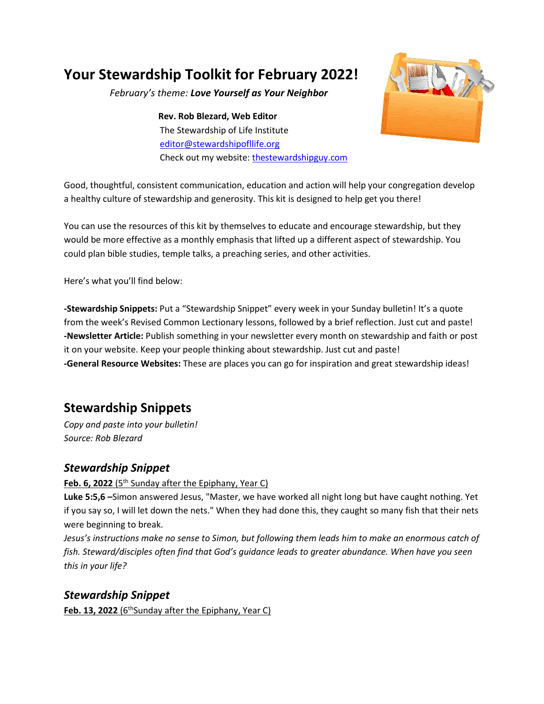## **Your Stewardship Toolkit for February 2022!**

*February's theme: Love Yourself as Your Neighbor*

**Rev. Rob Blezard, Web Editor** The Stewardship of Life Institute [editor@stewardshipofllife.org](mailto:editor@stewardshipofllife.org) Check out my website: [thestewardshipguy.com](https://www.thestewardshipguy.com/)



Good, thoughtful, consistent communication, education and action will help your congregation develop a healthy culture of stewardship and generosity. This kit is designed to help get you there!

You can use the resources of this kit by themselves to educate and encourage stewardship, but they would be more effective as a monthly emphasis that lifted up a different aspect of stewardship. You could plan bible studies, temple talks, a preaching series, and other activities.

Here's what you'll find below:

**-Stewardship Snippets:** Put a "Stewardship Snippet" every week in your Sunday bulletin! It's a quote from the week's Revised Common Lectionary lessons, followed by a brief reflection. Just cut and paste! **-Newsletter Article:** Publish something in your newsletter every month on stewardship and faith or post it on your website. Keep your people thinking about stewardship. Just cut and paste! **-General Resource Websites:** These are places you can go for inspiration and great stewardship ideas!

### **Stewardship Snippets**

*Copy and paste into your bulletin! Source: Rob Blezard*

#### *Stewardship Snippet*

**Feb. 6, 2022** (5<sup>th</sup> Sunday after the Epiphany, Year C)

**Luke 5:5,6 –**Simon answered Jesus, "Master, we have worked all night long but have caught nothing. Yet if you say so, I will let down the nets." When they had done this, they caught so many fish that their nets were beginning to break.

*Jesus's instructions make no sense to Simon, but following them leads him to make an enormous catch of fish. Steward/disciples often find that God's guidance leads to greater abundance. When have you seen this in your life?*

#### *Stewardship Snippet*

**Feb. 13, 2022** (6<sup>th</sup>Sunday after the Epiphany, Year C)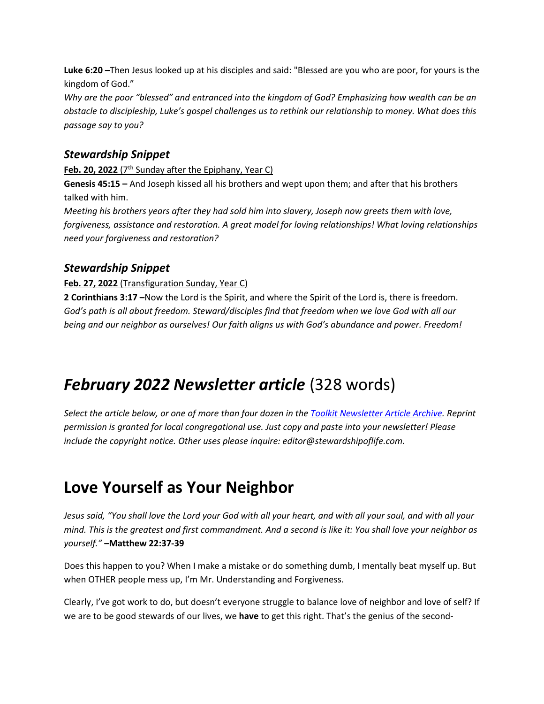**Luke 6:20 –**Then Jesus looked up at his disciples and said: "Blessed are you who are poor, for yours is the kingdom of God."

*Why are the poor "blessed" and entranced into the kingdom of God? Emphasizing how wealth can be an obstacle to discipleship, Luke's gospel challenges us to rethink our relationship to money. What does this passage say to you?*

#### *Stewardship Snippet*

Feb. 20, 2022 (7<sup>th</sup> Sunday after the Epiphany, Year C) **Genesis 45:15 –** And Joseph kissed all his brothers and wept upon them; and after that his brothers talked with him.

*Meeting his brothers years after they had sold him into slavery, Joseph now greets them with love, forgiveness, assistance and restoration. A great model for loving relationships! What loving relationships need your forgiveness and restoration?*

#### *Stewardship Snippet*

#### **Feb. 27, 2022** (Transfiguration Sunday, Year C)

**2 Corinthians 3:17 –**Now the Lord is the Spirit, and where the Spirit of the Lord is, there is freedom. *God's path is all about freedom. Steward/disciples find that freedom when we love God with all our being and our neighbor as ourselves! Our faith aligns us with God's abundance and power. Freedom!*

## *February 2022 Newsletter article* (328 words)

*Select the article below, or one of more than four dozen in th[e Toolkit Newsletter Article Archive.](https://thestewardshipguy.com/newsletter-articles/) Reprint permission is granted for local congregational use. Just copy and paste into your newsletter! Please include the copyright notice. Other uses please inquire: editor@stewardshipoflife.com.*

# **Love Yourself as Your Neighbor**

*Jesus said, "You shall love the Lord your God with all your heart, and with all your soul, and with all your mind. This is the greatest and first commandment. And a second is like it: You shall love your neighbor as yourself."* **–Matthew 22:37-39**

Does this happen to you? When I make a mistake or do something dumb, I mentally beat myself up. But when OTHER people mess up, I'm Mr. Understanding and Forgiveness.

Clearly, I've got work to do, but doesn't everyone struggle to balance love of neighbor and love of self? If we are to be good stewards of our lives, we **have** to get this right. That's the genius of the second